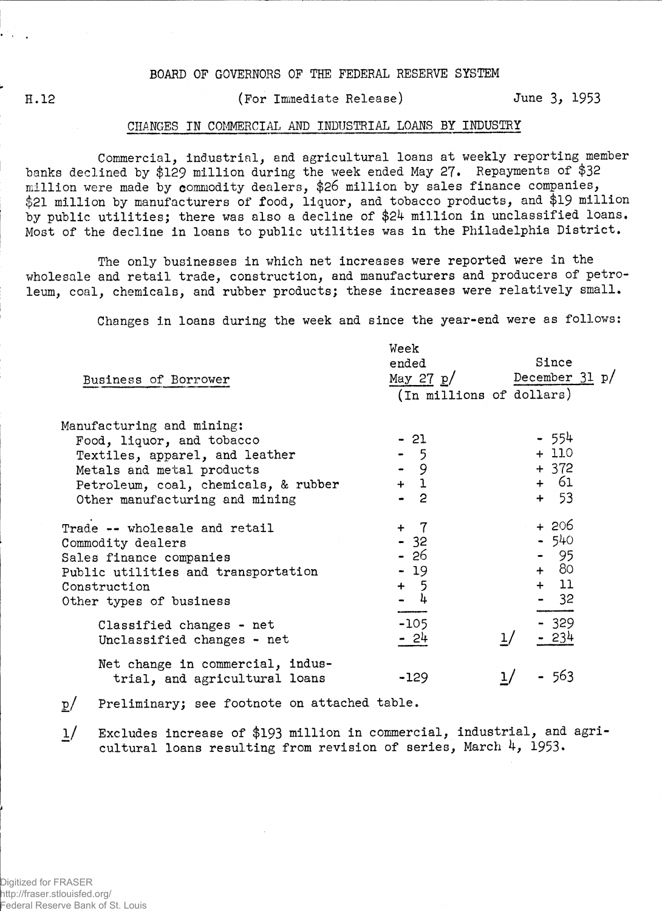## BOARD OF GOVERNORS OF THE FEDERAL RESERVE SYSTEM

H.12

## (For Immediate Release) June 3, 1953

## CHANGES IN COMMERCIAL AND INDUSTRIAL LOANS BY INDUSTRY

Commercial, industrial, and agricultural loans at weekly reporting member banks declined by \$129 million during the week ended May 27• Repayments of \$32 million were made by commodity dealers, \$26 million by sales finance companies, \$21 million by manufacturers of food, liquor, and tobacco products, and \$19 million by public utilities; there was also a decline of \$24 million in unclassified loans. Most of the decline in loans to public utilities was in the Philadelphia District.

The only businesses in which net increases were reported were in the wholesale and retail trade, construction, and manufacturers and producers of petroleum, coal, chemicals, and rubber products; these increases were relatively small.

Changes in loans during the week and since the year-end were as follows:

| Week<br>ended | Since<br>May 27 $p/$ December 31 $p/$<br>(In millions of dollars) |
|---------------|-------------------------------------------------------------------|
| - 21          | $-554$                                                            |
| $-5$          | $+110$                                                            |
| $-9$          | $+ 372$                                                           |
| $+ 1$         | + 61                                                              |
| $-2$          | $+ 53$                                                            |
| $+ 7$         | $+206$                                                            |
| $-32$         | $-540$                                                            |
| - 26          | $-95$                                                             |
| $-19$         | $+ 80$                                                            |
| $+ 5$         | $+ 11$                                                            |
| $-4$          | $-32$                                                             |
| $-105$        | $-329$                                                            |
| - 24          | $-234$                                                            |
| -129          | - 563                                                             |
|               |                                                                   |

- p/ Preliminary; see footnote on attached table.
- **1/** Excludes increase of \$193 million in commercial, industrial, and agri cultural loans resulting from revision of series, March  $4$ , 1953.